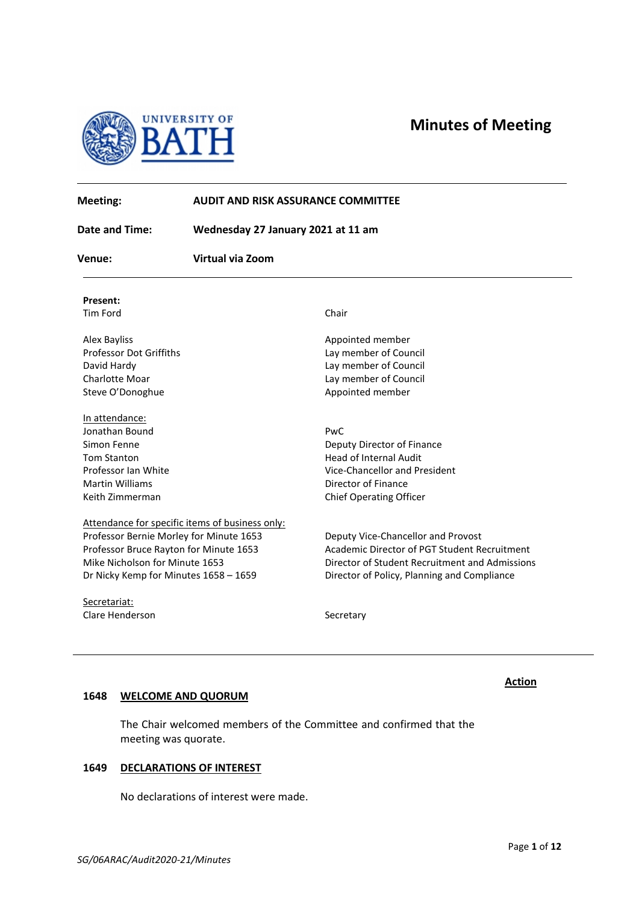

**Minutes of Meeting**



| Meeting:                                | <b>AUDIT AND RISK ASSURANCE COMMITTEE</b><br>Wednesday 27 January 2021 at 11 am |                                                |
|-----------------------------------------|---------------------------------------------------------------------------------|------------------------------------------------|
| <b>Date and Time:</b>                   |                                                                                 |                                                |
| Venue:                                  | Virtual via Zoom                                                                |                                                |
| Present:                                |                                                                                 |                                                |
| Tim Ford                                |                                                                                 | Chair                                          |
| <b>Alex Bayliss</b>                     |                                                                                 | Appointed member                               |
| <b>Professor Dot Griffiths</b>          |                                                                                 | Lay member of Council                          |
| David Hardy                             |                                                                                 | Lay member of Council                          |
| Charlotte Moar                          |                                                                                 | Lay member of Council                          |
| Steve O'Donoghue                        |                                                                                 | Appointed member                               |
| In attendance:                          |                                                                                 |                                                |
| Jonathan Bound                          |                                                                                 | PwC                                            |
| Simon Fenne                             |                                                                                 | Deputy Director of Finance                     |
| <b>Tom Stanton</b>                      |                                                                                 | <b>Head of Internal Audit</b>                  |
| Professor Ian White                     |                                                                                 | Vice-Chancellor and President                  |
| <b>Martin Williams</b>                  |                                                                                 | Director of Finance                            |
| Keith Zimmerman                         |                                                                                 | <b>Chief Operating Officer</b>                 |
|                                         | Attendance for specific items of business only:                                 |                                                |
| Professor Bernie Morley for Minute 1653 |                                                                                 | Deputy Vice-Chancellor and Provost             |
| Professor Bruce Rayton for Minute 1653  |                                                                                 | Academic Director of PGT Student Recruitment   |
| Mike Nicholson for Minute 1653          |                                                                                 | Director of Student Recruitment and Admissions |
| Dr Nicky Kemp for Minutes 1658 - 1659   |                                                                                 | Director of Policy, Planning and Compliance    |
| Secretariat:                            |                                                                                 |                                                |
| Clare Henderson                         |                                                                                 | Secretary                                      |
|                                         |                                                                                 |                                                |

# **1648 WELCOME AND QUORUM**

The Chair welcomed members of the Committee and confirmed that the meeting was quorate.

### **1649 DECLARATIONS OF INTEREST**

No declarations of interest were made.

**Action**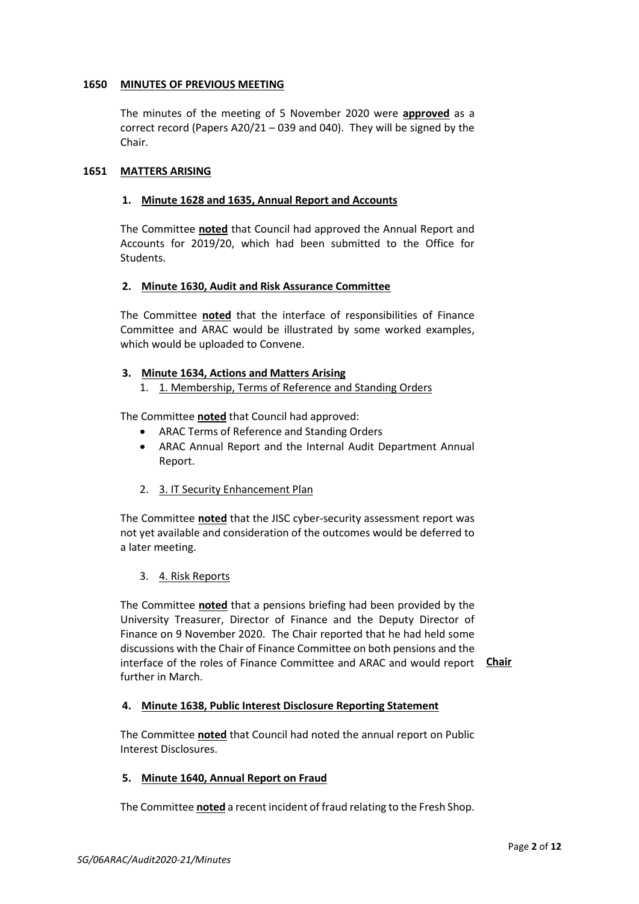### **1650 MINUTES OF PREVIOUS MEETING**

The minutes of the meeting of 5 November 2020 were **approved** as a correct record (Papers A20/21 – 039 and 040). They will be signed by the Chair.

### **1651 MATTERS ARISING**

### **1. Minute 1628 and 1635, Annual Report and Accounts**

The Committee **noted** that Council had approved the Annual Report and Accounts for 2019/20, which had been submitted to the Office for Students.

### **2. Minute 1630, Audit and Risk Assurance Committee**

The Committee **noted** that the interface of responsibilities of Finance Committee and ARAC would be illustrated by some worked examples, which would be uploaded to Convene.

### **3. Minute 1634, Actions and Matters Arising**

1. 1. Membership, Terms of Reference and Standing Orders

The Committee **noted** that Council had approved:

- ARAC Terms of Reference and Standing Orders
- ARAC Annual Report and the Internal Audit Department Annual Report.
- 2. 3. IT Security Enhancement Plan

The Committee **noted** that the JISC cyber-security assessment report was not yet available and consideration of the outcomes would be deferred to a later meeting.

3. 4. Risk Reports

The Committee **noted** that a pensions briefing had been provided by the University Treasurer, Director of Finance and the Deputy Director of Finance on 9 November 2020. The Chair reported that he had held some discussions with the Chair of Finance Committee on both pensions and the interface of the roles of Finance Committee and ARAC and would report **Chair**further in March.

# **4. Minute 1638, Public Interest Disclosure Reporting Statement**

The Committee **noted** that Council had noted the annual report on Public Interest Disclosures.

#### **5. Minute 1640, Annual Report on Fraud**

The Committee **noted** a recent incident of fraud relating to the Fresh Shop.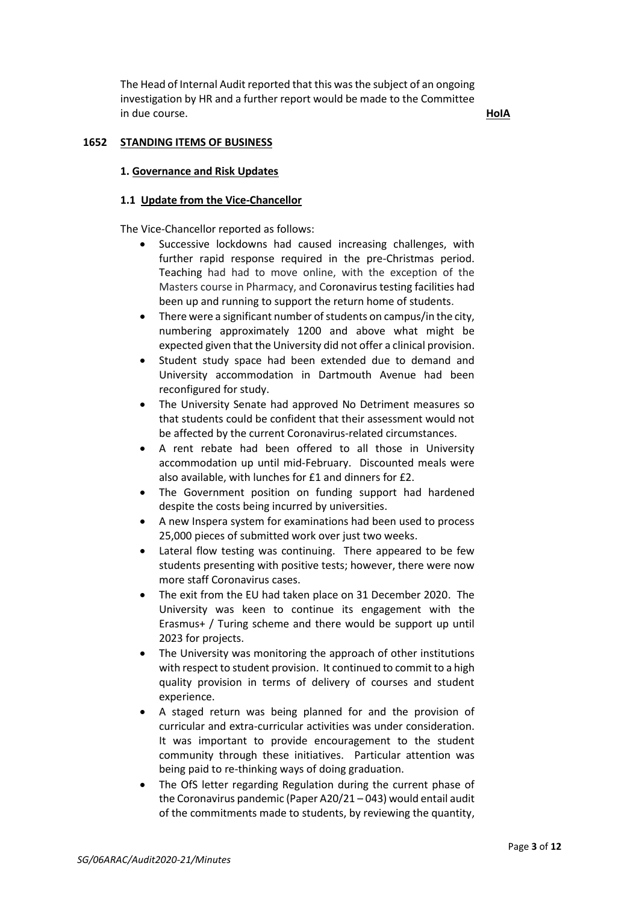The Head of Internal Audit reported that this was the subject of an ongoing investigation by HR and a further report would be made to the Committee in due course. **HoIA**

# **1652 STANDING ITEMS OF BUSINESS**

#### **1. Governance and Risk Updates**

#### **1.1 Update from the Vice-Chancellor**

The Vice-Chancellor reported as follows:

- Successive lockdowns had caused increasing challenges, with further rapid response required in the pre-Christmas period. Teaching had had to move online, with the exception of the Masters course in Pharmacy, and Coronavirus testing facilities had been up and running to support the return home of students.
- There were a significant number of students on campus/in the city, numbering approximately 1200 and above what might be expected given that the University did not offer a clinical provision.
- Student study space had been extended due to demand and University accommodation in Dartmouth Avenue had been reconfigured for study.
- The University Senate had approved No Detriment measures so that students could be confident that their assessment would not be affected by the current Coronavirus-related circumstances.
- A rent rebate had been offered to all those in University accommodation up until mid-February. Discounted meals were also available, with lunches for £1 and dinners for £2.
- The Government position on funding support had hardened despite the costs being incurred by universities.
- A new Inspera system for examinations had been used to process 25,000 pieces of submitted work over just two weeks.
- Lateral flow testing was continuing. There appeared to be few students presenting with positive tests; however, there were now more staff Coronavirus cases.
- The exit from the EU had taken place on 31 December 2020. The University was keen to continue its engagement with the Erasmus+ / Turing scheme and there would be support up until 2023 for projects.
- The University was monitoring the approach of other institutions with respect to student provision. It continued to commit to a high quality provision in terms of delivery of courses and student experience.
- A staged return was being planned for and the provision of curricular and extra-curricular activities was under consideration. It was important to provide encouragement to the student community through these initiatives. Particular attention was being paid to re-thinking ways of doing graduation.
- The OfS letter regarding Regulation during the current phase of the Coronavirus pandemic (Paper A20/21 – 043) would entail audit of the commitments made to students, by reviewing the quantity,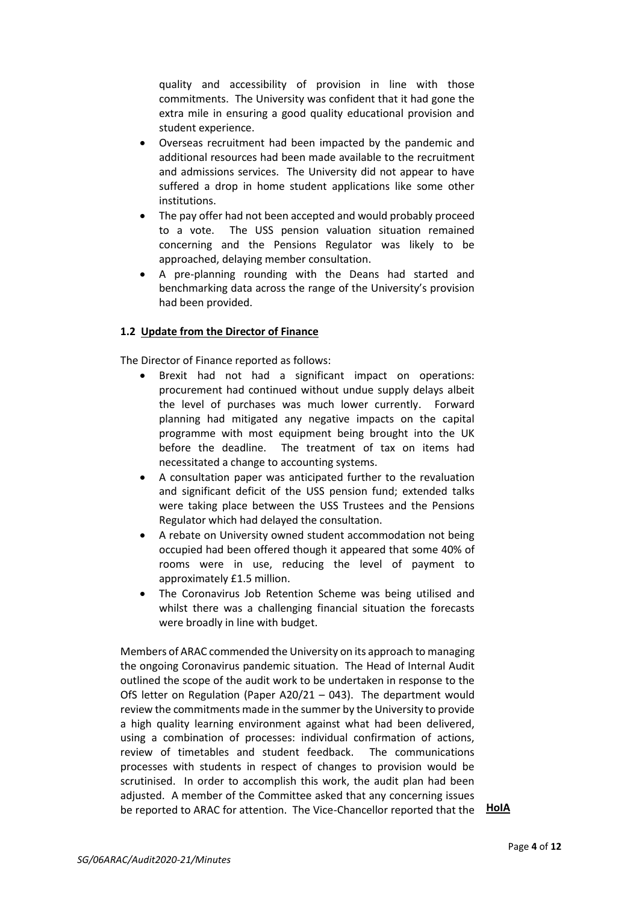quality and accessibility of provision in line with those commitments. The University was confident that it had gone the extra mile in ensuring a good quality educational provision and student experience.

- Overseas recruitment had been impacted by the pandemic and additional resources had been made available to the recruitment and admissions services. The University did not appear to have suffered a drop in home student applications like some other institutions.
- The pay offer had not been accepted and would probably proceed to a vote. The USS pension valuation situation remained concerning and the Pensions Regulator was likely to be approached, delaying member consultation.
- A pre-planning rounding with the Deans had started and benchmarking data across the range of the University's provision had been provided.

### **1.2 Update from the Director of Finance**

The Director of Finance reported as follows:

- Brexit had not had a significant impact on operations: procurement had continued without undue supply delays albeit the level of purchases was much lower currently. Forward planning had mitigated any negative impacts on the capital programme with most equipment being brought into the UK before the deadline. The treatment of tax on items had necessitated a change to accounting systems.
- A consultation paper was anticipated further to the revaluation and significant deficit of the USS pension fund; extended talks were taking place between the USS Trustees and the Pensions Regulator which had delayed the consultation.
- A rebate on University owned student accommodation not being occupied had been offered though it appeared that some 40% of rooms were in use, reducing the level of payment to approximately £1.5 million.
- The Coronavirus Job Retention Scheme was being utilised and whilst there was a challenging financial situation the forecasts were broadly in line with budget.

Members of ARAC commended the University on its approach to managing the ongoing Coronavirus pandemic situation. The Head of Internal Audit outlined the scope of the audit work to be undertaken in response to the OfS letter on Regulation (Paper A20/21 – 043). The department would review the commitments made in the summer by the University to provide a high quality learning environment against what had been delivered, using a combination of processes: individual confirmation of actions, review of timetables and student feedback. The communications processes with students in respect of changes to provision would be scrutinised. In order to accomplish this work, the audit plan had been adjusted. A member of the Committee asked that any concerning issues be reported to ARAC for attention. The Vice-Chancellor reported that the **HoIA**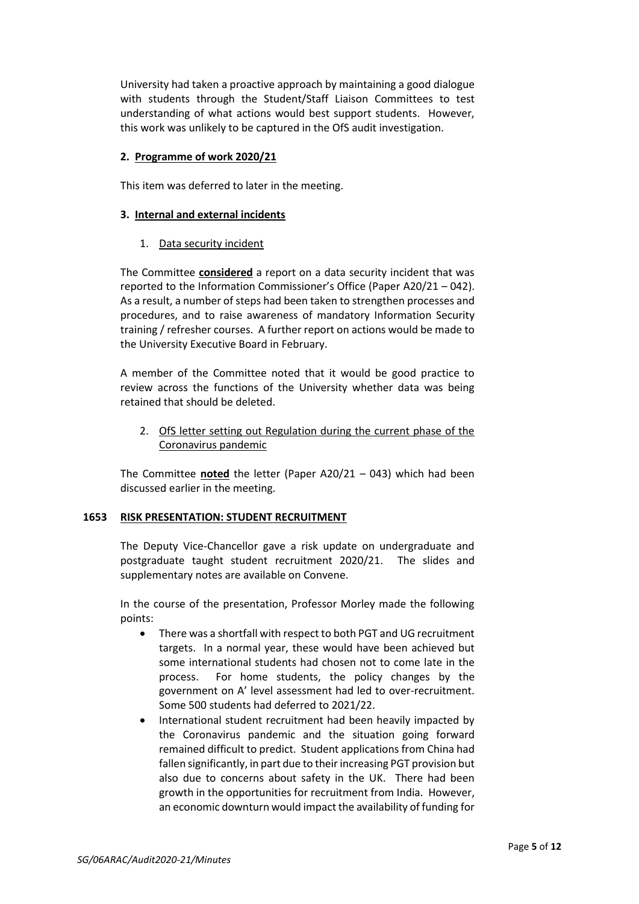University had taken a proactive approach by maintaining a good dialogue with students through the Student/Staff Liaison Committees to test understanding of what actions would best support students. However, this work was unlikely to be captured in the OfS audit investigation.

### **2. Programme of work 2020/21**

This item was deferred to later in the meeting.

### **3. Internal and external incidents**

### 1. Data security incident

The Committee **considered** a report on a data security incident that was reported to the Information Commissioner's Office (Paper A20/21 – 042). As a result, a number of steps had been taken to strengthen processes and procedures, and to raise awareness of mandatory Information Security training / refresher courses. A further report on actions would be made to the University Executive Board in February.

A member of the Committee noted that it would be good practice to review across the functions of the University whether data was being retained that should be deleted.

2. OfS letter setting out Regulation during the current phase of the Coronavirus pandemic

The Committee **noted** the letter (Paper A20/21 – 043) which had been discussed earlier in the meeting.

# **1653 RISK PRESENTATION: STUDENT RECRUITMENT**

The Deputy Vice-Chancellor gave a risk update on undergraduate and postgraduate taught student recruitment 2020/21. The slides and supplementary notes are available on Convene.

In the course of the presentation, Professor Morley made the following points:

- There was a shortfall with respect to both PGT and UG recruitment targets. In a normal year, these would have been achieved but some international students had chosen not to come late in the process. For home students, the policy changes by the government on A' level assessment had led to over-recruitment. Some 500 students had deferred to 2021/22.
- International student recruitment had been heavily impacted by the Coronavirus pandemic and the situation going forward remained difficult to predict. Student applications from China had fallen significantly, in part due to their increasing PGT provision but also due to concerns about safety in the UK. There had been growth in the opportunities for recruitment from India. However, an economic downturn would impact the availability of funding for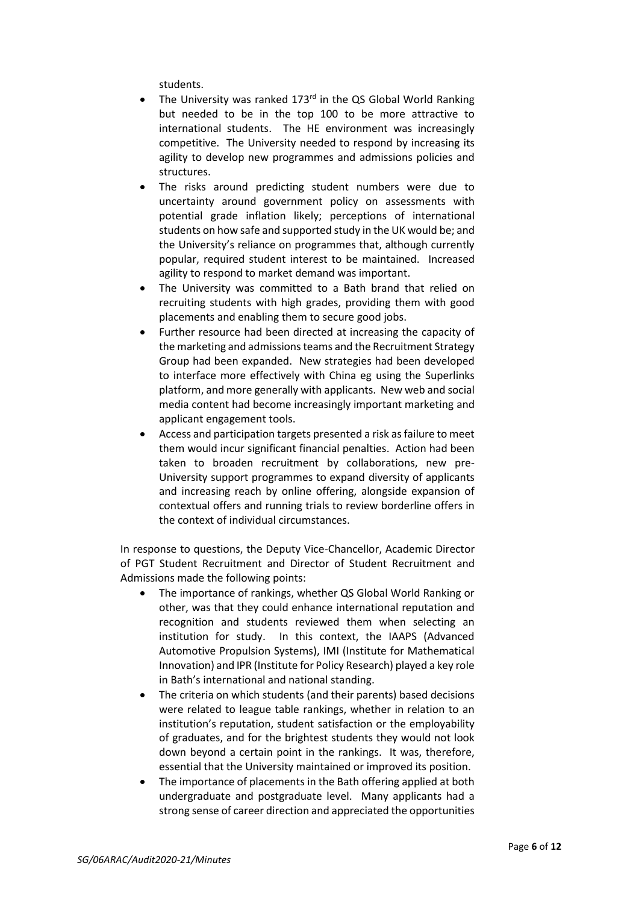students.

- The University was ranked 173<sup>rd</sup> in the QS Global World Ranking but needed to be in the top 100 to be more attractive to international students. The HE environment was increasingly competitive. The University needed to respond by increasing its agility to develop new programmes and admissions policies and structures.
- The risks around predicting student numbers were due to uncertainty around government policy on assessments with potential grade inflation likely; perceptions of international students on how safe and supported study in the UK would be; and the University's reliance on programmes that, although currently popular, required student interest to be maintained. Increased agility to respond to market demand was important.
- The University was committed to a Bath brand that relied on recruiting students with high grades, providing them with good placements and enabling them to secure good jobs.
- Further resource had been directed at increasing the capacity of the marketing and admissions teams and the Recruitment Strategy Group had been expanded. New strategies had been developed to interface more effectively with China eg using the Superlinks platform, and more generally with applicants. New web and social media content had become increasingly important marketing and applicant engagement tools.
- Access and participation targets presented a risk as failure to meet them would incur significant financial penalties. Action had been taken to broaden recruitment by collaborations, new pre-University support programmes to expand diversity of applicants and increasing reach by online offering, alongside expansion of contextual offers and running trials to review borderline offers in the context of individual circumstances.

In response to questions, the Deputy Vice-Chancellor, Academic Director of PGT Student Recruitment and Director of Student Recruitment and Admissions made the following points:

- The importance of rankings, whether QS Global World Ranking or other, was that they could enhance international reputation and recognition and students reviewed them when selecting an institution for study. In this context, the IAAPS (Advanced Automotive Propulsion Systems), IMI (Institute for Mathematical Innovation) and IPR (Institute for Policy Research) played a key role in Bath's international and national standing.
- The criteria on which students (and their parents) based decisions were related to league table rankings, whether in relation to an institution's reputation, student satisfaction or the employability of graduates, and for the brightest students they would not look down beyond a certain point in the rankings. It was, therefore, essential that the University maintained or improved its position.
- The importance of placements in the Bath offering applied at both undergraduate and postgraduate level. Many applicants had a strong sense of career direction and appreciated the opportunities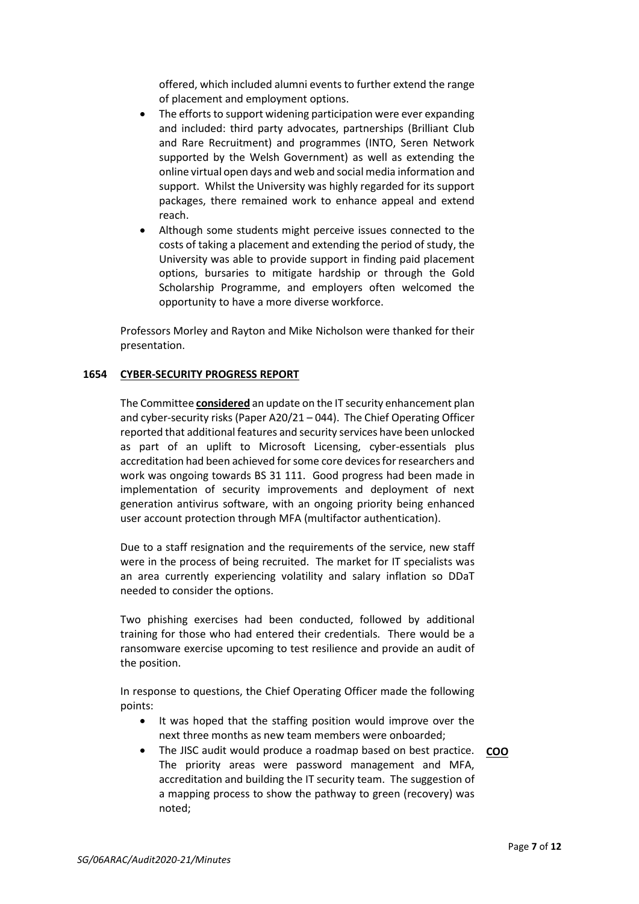offered, which included alumni events to further extend the range of placement and employment options.

- The efforts to support widening participation were ever expanding and included: third party advocates, partnerships (Brilliant Club and Rare Recruitment) and programmes (INTO, Seren Network supported by the Welsh Government) as well as extending the online virtual open days and web and social media information and support. Whilst the University was highly regarded for its support packages, there remained work to enhance appeal and extend reach.
- Although some students might perceive issues connected to the costs of taking a placement and extending the period of study, the University was able to provide support in finding paid placement options, bursaries to mitigate hardship or through the Gold Scholarship Programme, and employers often welcomed the opportunity to have a more diverse workforce.

Professors Morley and Rayton and Mike Nicholson were thanked for their presentation.

#### **1654 CYBER-SECURITY PROGRESS REPORT**

The Committee **considered** an update on the IT security enhancement plan and cyber-security risks (Paper A20/21 – 044). The Chief Operating Officer reported that additional features and security services have been unlocked as part of an uplift to Microsoft Licensing, cyber-essentials plus accreditation had been achieved for some core devices for researchers and work was ongoing towards BS 31 111. Good progress had been made in implementation of security improvements and deployment of next generation antivirus software, with an ongoing priority being enhanced user account protection through MFA (multifactor authentication).

Due to a staff resignation and the requirements of the service, new staff were in the process of being recruited. The market for IT specialists was an area currently experiencing volatility and salary inflation so DDaT needed to consider the options.

Two phishing exercises had been conducted, followed by additional training for those who had entered their credentials. There would be a ransomware exercise upcoming to test resilience and provide an audit of the position.

In response to questions, the Chief Operating Officer made the following points:

- It was hoped that the staffing position would improve over the next three months as new team members were onboarded;
- The JISC audit would produce a roadmap based on best practice. **COO**The priority areas were password management and MFA, accreditation and building the IT security team. The suggestion of a mapping process to show the pathway to green (recovery) was noted;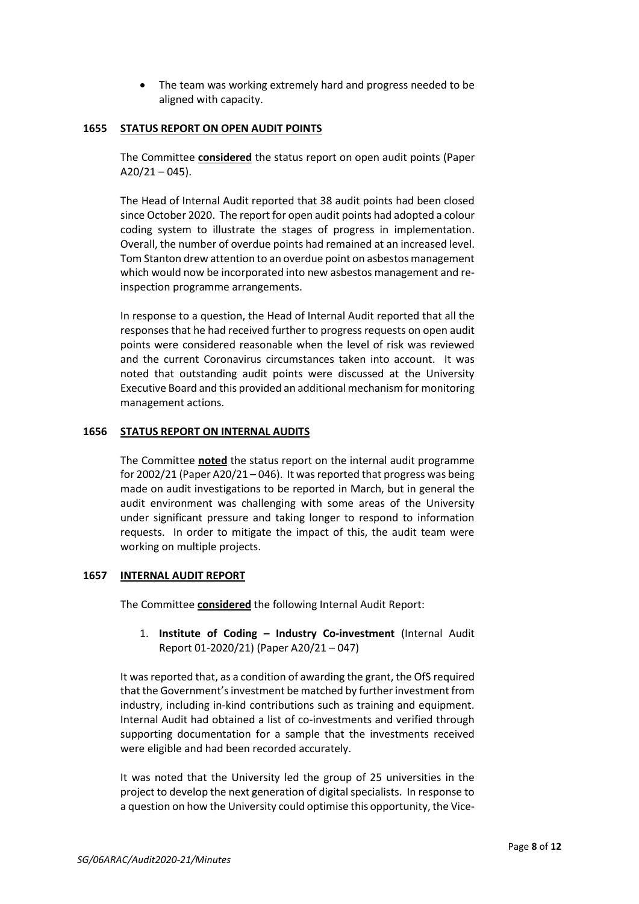• The team was working extremely hard and progress needed to be aligned with capacity.

### **1655 STATUS REPORT ON OPEN AUDIT POINTS**

The Committee **considered** the status report on open audit points (Paper  $A20/21 - 045$ ).

The Head of Internal Audit reported that 38 audit points had been closed since October 2020. The report for open audit points had adopted a colour coding system to illustrate the stages of progress in implementation. Overall, the number of overdue points had remained at an increased level. Tom Stanton drew attention to an overdue point on asbestos management which would now be incorporated into new asbestos management and reinspection programme arrangements.

In response to a question, the Head of Internal Audit reported that all the responses that he had received further to progress requests on open audit points were considered reasonable when the level of risk was reviewed and the current Coronavirus circumstances taken into account. It was noted that outstanding audit points were discussed at the University Executive Board and this provided an additional mechanism for monitoring management actions.

### **1656 STATUS REPORT ON INTERNAL AUDITS**

The Committee **noted** the status report on the internal audit programme for 2002/21 (Paper A20/21 – 046). It was reported that progress was being made on audit investigations to be reported in March, but in general the audit environment was challenging with some areas of the University under significant pressure and taking longer to respond to information requests. In order to mitigate the impact of this, the audit team were working on multiple projects.

# **1657 INTERNAL AUDIT REPORT**

The Committee **considered** the following Internal Audit Report:

1. **Institute of Coding – Industry Co-investment** (Internal Audit Report 01-2020/21) (Paper A20/21 – 047)

It was reported that, as a condition of awarding the grant, the OfS required that the Government's investment be matched by further investment from industry, including in-kind contributions such as training and equipment. Internal Audit had obtained a list of co-investments and verified through supporting documentation for a sample that the investments received were eligible and had been recorded accurately.

It was noted that the University led the group of 25 universities in the project to develop the next generation of digital specialists. In response to a question on how the University could optimise this opportunity, the Vice-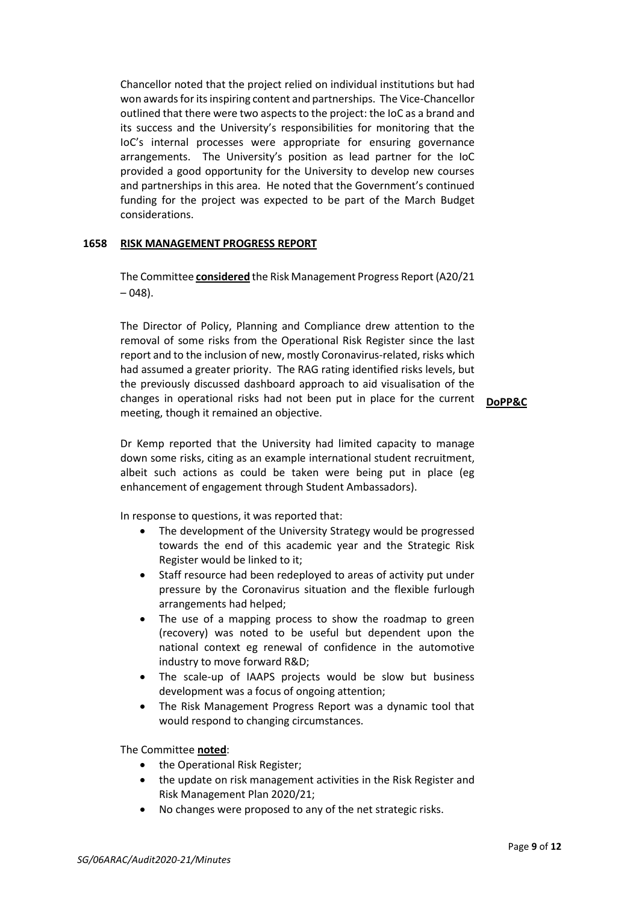Chancellor noted that the project relied on individual institutions but had won awards for its inspiring content and partnerships. The Vice-Chancellor outlined that there were two aspects to the project: the IoC as a brand and its success and the University's responsibilities for monitoring that the IoC's internal processes were appropriate for ensuring governance arrangements. The University's position as lead partner for the IoC provided a good opportunity for the University to develop new courses and partnerships in this area. He noted that the Government's continued funding for the project was expected to be part of the March Budget considerations.

#### **1658 RISK MANAGEMENT PROGRESS REPORT**

The Committee **considered** the Risk Management Progress Report (A20/21  $-048$ ).

The Director of Policy, Planning and Compliance drew attention to the removal of some risks from the Operational Risk Register since the last report and to the inclusion of new, mostly Coronavirus-related, risks which had assumed a greater priority. The RAG rating identified risks levels, but the previously discussed dashboard approach to aid visualisation of the changes in operational risks had not been put in place for the current **DoPP&C**meeting, though it remained an objective.

Dr Kemp reported that the University had limited capacity to manage down some risks, citing as an example international student recruitment, albeit such actions as could be taken were being put in place (eg enhancement of engagement through Student Ambassadors).

In response to questions, it was reported that:

- The development of the University Strategy would be progressed towards the end of this academic year and the Strategic Risk Register would be linked to it;
- Staff resource had been redeployed to areas of activity put under pressure by the Coronavirus situation and the flexible furlough arrangements had helped;
- The use of a mapping process to show the roadmap to green (recovery) was noted to be useful but dependent upon the national context eg renewal of confidence in the automotive industry to move forward R&D;
- The scale-up of IAAPS projects would be slow but business development was a focus of ongoing attention;
- The Risk Management Progress Report was a dynamic tool that would respond to changing circumstances.

The Committee **noted**:

- the Operational Risk Register;
- the update on risk management activities in the Risk Register and Risk Management Plan 2020/21;
- No changes were proposed to any of the net strategic risks.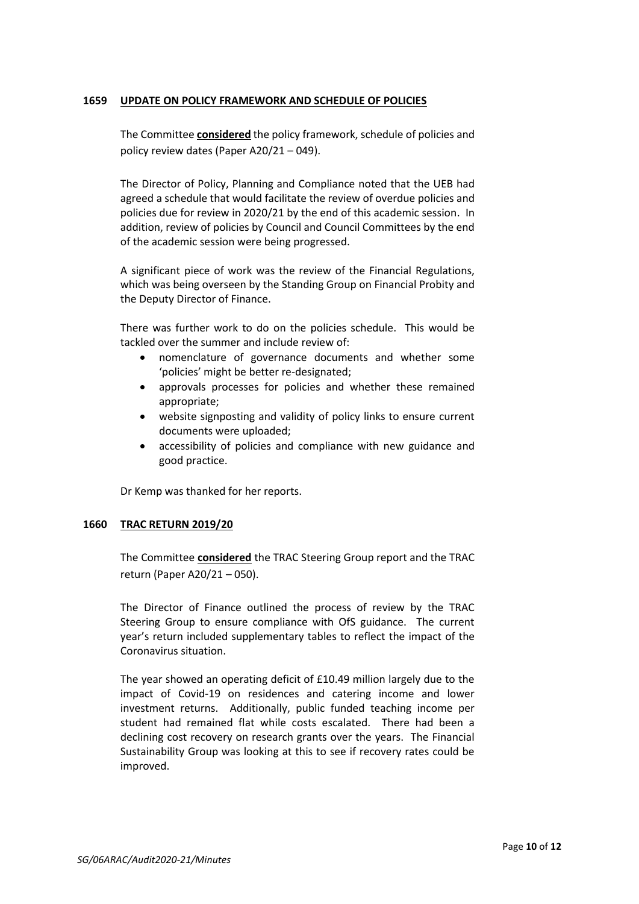### **1659 UPDATE ON POLICY FRAMEWORK AND SCHEDULE OF POLICIES**

The Committee **considered** the policy framework, schedule of policies and policy review dates (Paper A20/21 – 049).

The Director of Policy, Planning and Compliance noted that the UEB had agreed a schedule that would facilitate the review of overdue policies and policies due for review in 2020/21 by the end of this academic session. In addition, review of policies by Council and Council Committees by the end of the academic session were being progressed.

A significant piece of work was the review of the Financial Regulations, which was being overseen by the Standing Group on Financial Probity and the Deputy Director of Finance.

There was further work to do on the policies schedule. This would be tackled over the summer and include review of:

- nomenclature of governance documents and whether some 'policies' might be better re-designated;
- approvals processes for policies and whether these remained appropriate;
- website signposting and validity of policy links to ensure current documents were uploaded;
- accessibility of policies and compliance with new guidance and good practice.

Dr Kemp was thanked for her reports.

# **1660 TRAC RETURN 2019/20**

The Committee **considered** the TRAC Steering Group report and the TRAC return (Paper A20/21 – 050).

The Director of Finance outlined the process of review by the TRAC Steering Group to ensure compliance with OfS guidance. The current year's return included supplementary tables to reflect the impact of the Coronavirus situation.

The year showed an operating deficit of £10.49 million largely due to the impact of Covid-19 on residences and catering income and lower investment returns. Additionally, public funded teaching income per student had remained flat while costs escalated. There had been a declining cost recovery on research grants over the years. The Financial Sustainability Group was looking at this to see if recovery rates could be improved.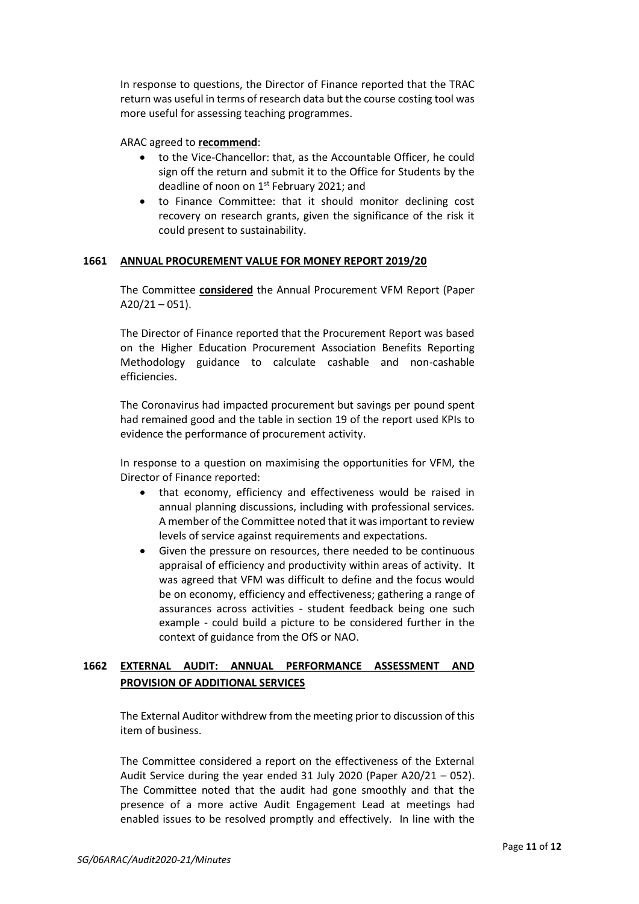In response to questions, the Director of Finance reported that the TRAC return was useful in terms of research data but the course costing tool was more useful for assessing teaching programmes.

ARAC agreed to **recommend**:

- to the Vice-Chancellor: that, as the Accountable Officer, he could sign off the return and submit it to the Office for Students by the deadline of noon on 1st February 2021; and
- to Finance Committee: that it should monitor declining cost recovery on research grants, given the significance of the risk it could present to sustainability.

# **1661 ANNUAL PROCUREMENT VALUE FOR MONEY REPORT 2019/20**

The Committee **considered** the Annual Procurement VFM Report (Paper  $A20/21 - 051$ ).

The Director of Finance reported that the Procurement Report was based on the Higher Education Procurement Association Benefits Reporting Methodology guidance to calculate cashable and non-cashable efficiencies.

The Coronavirus had impacted procurement but savings per pound spent had remained good and the table in section 19 of the report used KPIs to evidence the performance of procurement activity.

In response to a question on maximising the opportunities for VFM, the Director of Finance reported:

- that economy, efficiency and effectiveness would be raised in annual planning discussions, including with professional services. A member of the Committee noted that it was important to review levels of service against requirements and expectations.
- Given the pressure on resources, there needed to be continuous appraisal of efficiency and productivity within areas of activity. It was agreed that VFM was difficult to define and the focus would be on economy, efficiency and effectiveness; gathering a range of assurances across activities - student feedback being one such example - could build a picture to be considered further in the context of guidance from the OfS or NAO.

# **1662 EXTERNAL AUDIT: ANNUAL PERFORMANCE ASSESSMENT AND PROVISION OF ADDITIONAL SERVICES**

The External Auditor withdrew from the meeting prior to discussion of this item of business.

The Committee considered a report on the effectiveness of the External Audit Service during the year ended 31 July 2020 (Paper A20/21 – 052). The Committee noted that the audit had gone smoothly and that the presence of a more active Audit Engagement Lead at meetings had enabled issues to be resolved promptly and effectively. In line with the